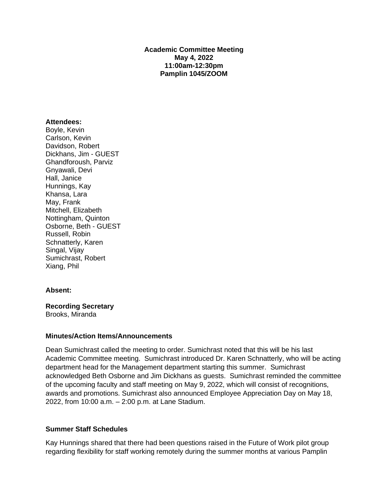## **Academic Committee Meeting May 4, 2022 11:00am-12:30pm Pamplin 1045/ZOOM**

## **Attendees:**

Boyle, Kevin Carlson, Kevin Davidson, Robert Dickhans, Jim - GUEST Ghandforoush, Parviz Gnyawali, Devi Hall, Janice Hunnings, Kay Khansa, Lara May, Frank Mitchell, Elizabeth Nottingham, Quinton Osborne, Beth - GUEST Russell, Robin Schnatterly, Karen Singal, Vijay Sumichrast, Robert Xiang, Phil

## **Absent:**

**Recording Secretary** Brooks, Miranda

## **Minutes/Action Items/Announcements**

Dean Sumichrast called the meeting to order. Sumichrast noted that this will be his last Academic Committee meeting. Sumichrast introduced Dr. Karen Schnatterly, who will be acting department head for the Management department starting this summer. Sumichrast acknowledged Beth Osborne and Jim Dickhans as guests. Sumichrast reminded the committee of the upcoming faculty and staff meeting on May 9, 2022, which will consist of recognitions, awards and promotions. Sumichrast also announced Employee Appreciation Day on May 18, 2022, from 10:00 a.m. – 2:00 p.m. at Lane Stadium.

## **Summer Staff Schedules**

Kay Hunnings shared that there had been questions raised in the Future of Work pilot group regarding flexibility for staff working remotely during the summer months at various Pamplin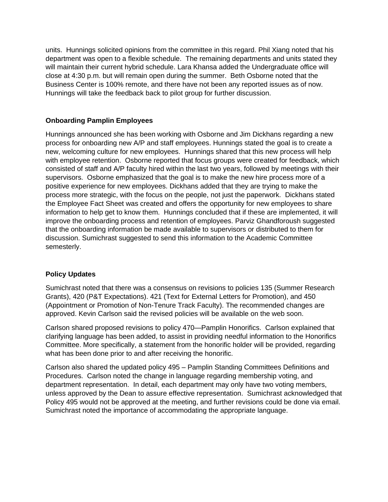units. Hunnings solicited opinions from the committee in this regard. Phil Xiang noted that his department was open to a flexible schedule. The remaining departments and units stated they will maintain their current hybrid schedule. Lara Khansa added the Undergraduate office will close at 4:30 p.m. but will remain open during the summer. Beth Osborne noted that the Business Center is 100% remote, and there have not been any reported issues as of now. Hunnings will take the feedback back to pilot group for further discussion.

# **Onboarding Pamplin Employees**

Hunnings announced she has been working with Osborne and Jim Dickhans regarding a new process for onboarding new A/P and staff employees. Hunnings stated the goal is to create a new, welcoming culture for new employees. Hunnings shared that this new process will help with employee retention. Osborne reported that focus groups were created for feedback, which consisted of staff and A/P faculty hired within the last two years, followed by meetings with their supervisors. Osborne emphasized that the goal is to make the new hire process more of a positive experience for new employees. Dickhans added that they are trying to make the process more strategic, with the focus on the people, not just the paperwork. Dickhans stated the Employee Fact Sheet was created and offers the opportunity for new employees to share information to help get to know them. Hunnings concluded that if these are implemented, it will improve the onboarding process and retention of employees. Parviz Ghandforoush suggested that the onboarding information be made available to supervisors or distributed to them for discussion. Sumichrast suggested to send this information to the Academic Committee semesterly.

# **Policy Updates**

Sumichrast noted that there was a consensus on revisions to policies 135 (Summer Research Grants), 420 (P&T Expectations). 421 (Text for External Letters for Promotion), and 450 (Appointment or Promotion of Non-Tenure Track Faculty). The recommended changes are approved. Kevin Carlson said the revised policies will be available on the web soon.

Carlson shared proposed revisions to policy 470—Pamplin Honorifics. Carlson explained that clarifying language has been added, to assist in providing needful information to the Honorifics Committee. More specifically, a statement from the honorific holder will be provided, regarding what has been done prior to and after receiving the honorific.

Carlson also shared the updated policy 495 – Pamplin Standing Committees Definitions and Procedures. Carlson noted the change in language regarding membership voting, and department representation. In detail, each department may only have two voting members, unless approved by the Dean to assure effective representation. Sumichrast acknowledged that Policy 495 would not be approved at the meeting, and further revisions could be done via email. Sumichrast noted the importance of accommodating the appropriate language.